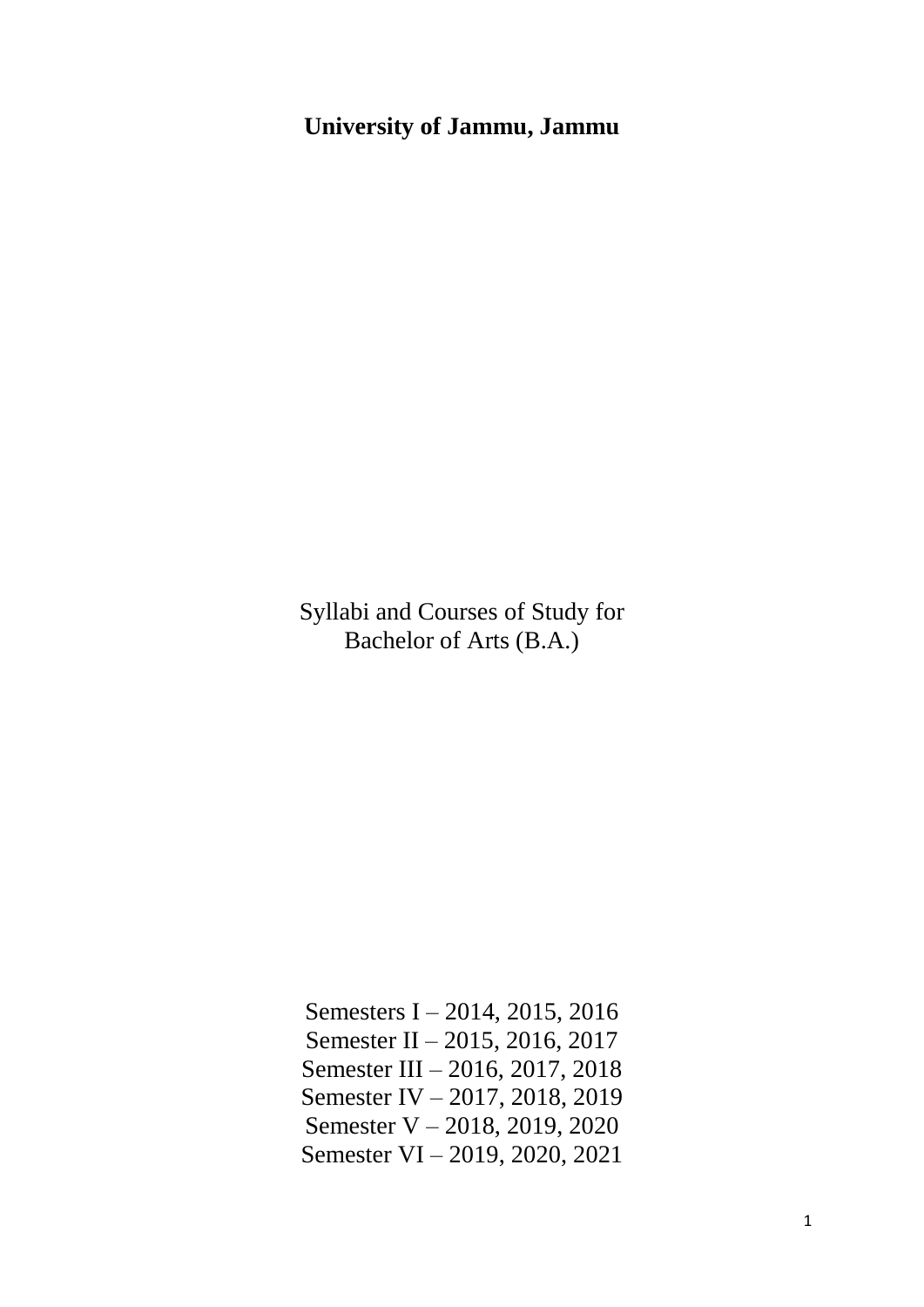# **University of Jammu, Jammu**

Syllabi and Courses of Study for Bachelor of Arts (B.A.)

Semesters I – 2014, 2015, 2016 Semester II – 2015, 2016, 2017 Semester III – 2016, 2017, 2018 Semester IV – 2017, 2018, 2019 Semester V – 2018, 2019, 2020 Semester VI – 2019, 2020, 2021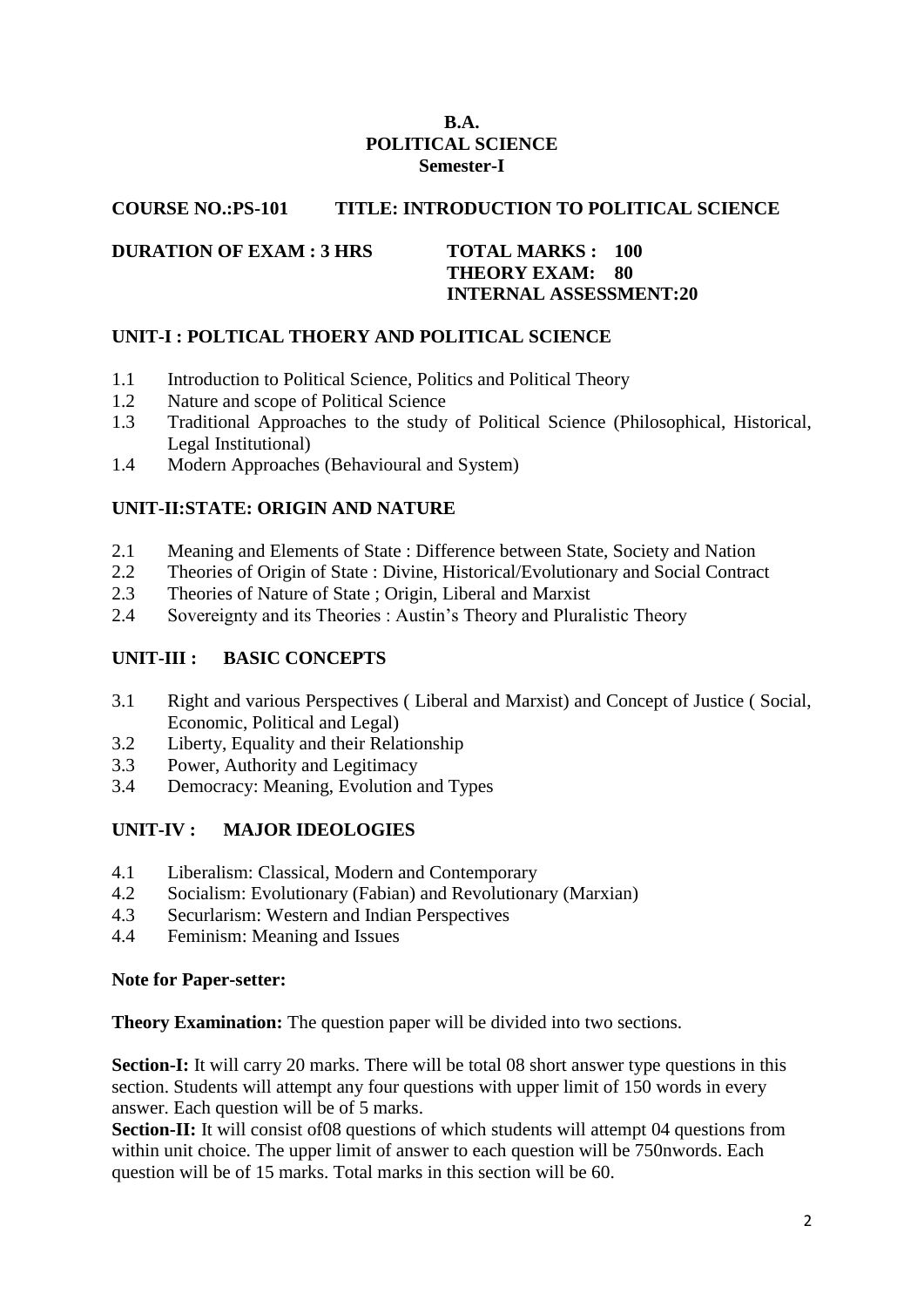#### **B.A. POLITICAL SCIENCE Semester-I**

#### **COURSE NO.:PS-101 TITLE: INTRODUCTION TO POLITICAL SCIENCE**

#### **DURATION OF EXAM : 3 HRS TOTAL MARKS : 100**

# **THEORY EXAM: 80 INTERNAL ASSESSMENT:20**

# **UNIT-I : POLTICAL THOERY AND POLITICAL SCIENCE**

- 1.1 Introduction to Political Science, Politics and Political Theory
- 1.2 Nature and scope of Political Science
- 1.3 Traditional Approaches to the study of Political Science (Philosophical, Historical, Legal Institutional)
- 1.4 Modern Approaches (Behavioural and System)

# **UNIT-II:STATE: ORIGIN AND NATURE**

- 2.1 Meaning and Elements of State : Difference between State, Society and Nation
- 2.2 Theories of Origin of State : Divine, Historical/Evolutionary and Social Contract
- 2.3 Theories of Nature of State ; Origin, Liberal and Marxist
- 2.4 Sovereignty and its Theories : Austin's Theory and Pluralistic Theory

# **UNIT-III : BASIC CONCEPTS**

- 3.1 Right and various Perspectives ( Liberal and Marxist) and Concept of Justice ( Social, Economic, Political and Legal)
- 3.2 Liberty, Equality and their Relationship
- 3.3 Power, Authority and Legitimacy
- 3.4 Democracy: Meaning, Evolution and Types

# **UNIT-IV : MAJOR IDEOLOGIES**

- 4.1 Liberalism: Classical, Modern and Contemporary
- 4.2 Socialism: Evolutionary (Fabian) and Revolutionary (Marxian)
- 4.3 Securlarism: Western and Indian Perspectives
- 4.4 Feminism: Meaning and Issues

#### **Note for Paper-setter:**

**Theory Examination:** The question paper will be divided into two sections.

**Section-I:** It will carry 20 marks. There will be total 08 short answer type questions in this section. Students will attempt any four questions with upper limit of 150 words in every answer. Each question will be of 5 marks.

**Section-II:** It will consist of 08 questions of which students will attempt 04 questions from within unit choice. The upper limit of answer to each question will be 750nwords. Each question will be of 15 marks. Total marks in this section will be 60.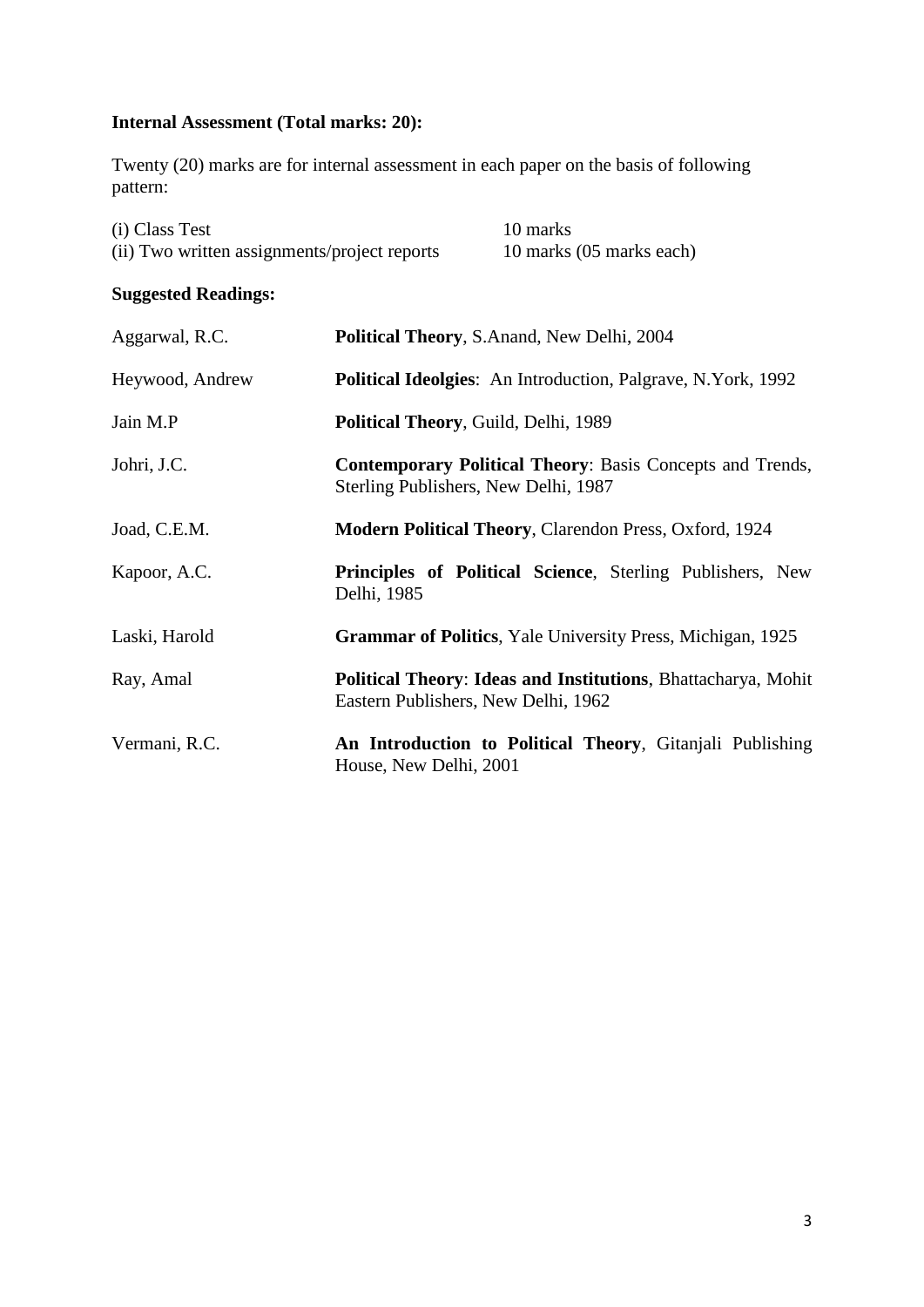# **Internal Assessment (Total marks: 20):**

Twenty (20) marks are for internal assessment in each paper on the basis of following pattern:

| (i) Class Test                               | 10 marks                 |
|----------------------------------------------|--------------------------|
| (ii) Two written assignments/project reports | 10 marks (05 marks each) |

# **Suggested Readings:**

| Aggarwal, R.C.  | Political Theory, S.Anand, New Delhi, 2004                                                                  |  |
|-----------------|-------------------------------------------------------------------------------------------------------------|--|
| Heywood, Andrew | <b>Political Ideolgies:</b> An Introduction, Palgrave, N.York, 1992                                         |  |
| Jain M.P        | Political Theory, Guild, Delhi, 1989                                                                        |  |
| Johri, J.C.     | <b>Contemporary Political Theory: Basis Concepts and Trends,</b><br>Sterling Publishers, New Delhi, 1987    |  |
| Joad, C.E.M.    | <b>Modern Political Theory, Clarendon Press, Oxford, 1924</b>                                               |  |
| Kapoor, A.C.    | Principles of Political Science, Sterling Publishers, New<br>Delhi, 1985                                    |  |
| Laski, Harold   | <b>Grammar of Politics</b> , Yale University Press, Michigan, 1925                                          |  |
| Ray, Amal       | <b>Political Theory: Ideas and Institutions, Bhattacharya, Mohit</b><br>Eastern Publishers, New Delhi, 1962 |  |
| Vermani, R.C.   | An Introduction to Political Theory, Gitanjali Publishing<br>House, New Delhi, 2001                         |  |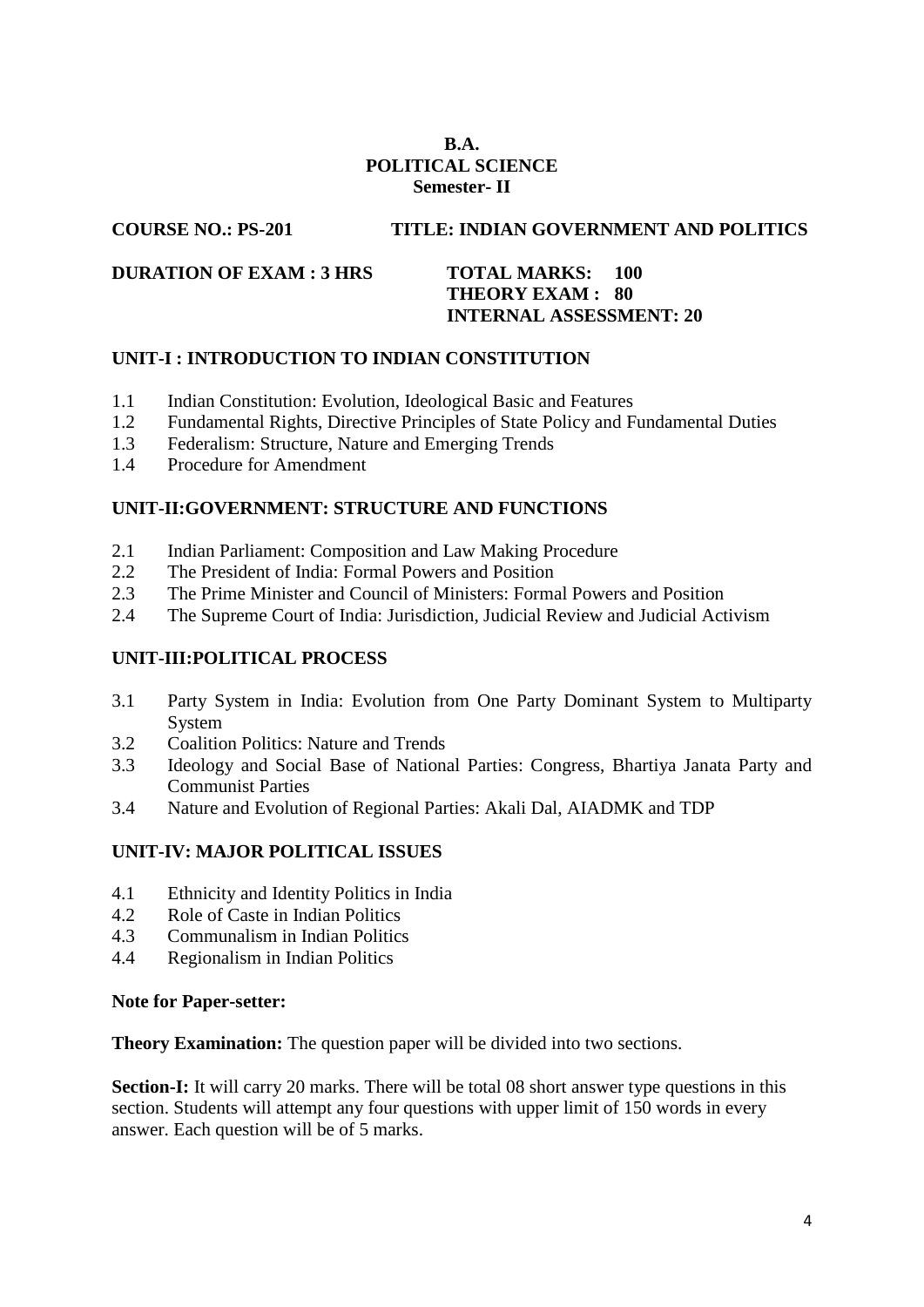# **B.A. POLITICAL SCIENCE Semester- II**

# **COURSE NO.: PS-201 TITLE: INDIAN GOVERNMENT AND POLITICS**

#### **DURATION OF EXAM : 3 HRS TOTAL MARKS: 100**

# **THEORY EXAM : 80 INTERNAL ASSESSMENT: 20**

## **UNIT-I : INTRODUCTION TO INDIAN CONSTITUTION**

- 1.1 Indian Constitution: Evolution, Ideological Basic and Features
- 1.2 Fundamental Rights, Directive Principles of State Policy and Fundamental Duties
- 1.3 Federalism: Structure, Nature and Emerging Trends
- 1.4 Procedure for Amendment

## **UNIT-II:GOVERNMENT: STRUCTURE AND FUNCTIONS**

- 2.1 Indian Parliament: Composition and Law Making Procedure
- 2.2 The President of India: Formal Powers and Position
- 2.3 The Prime Minister and Council of Ministers: Formal Powers and Position
- 2.4 The Supreme Court of India: Jurisdiction, Judicial Review and Judicial Activism

#### **UNIT-III:POLITICAL PROCESS**

- 3.1 Party System in India: Evolution from One Party Dominant System to Multiparty System
- 3.2 Coalition Politics: Nature and Trends
- 3.3 Ideology and Social Base of National Parties: Congress, Bhartiya Janata Party and Communist Parties
- 3.4 Nature and Evolution of Regional Parties: Akali Dal, AIADMK and TDP

#### **UNIT-IV: MAJOR POLITICAL ISSUES**

- 4.1 Ethnicity and Identity Politics in India
- 4.2 Role of Caste in Indian Politics
- 4.3 Communalism in Indian Politics
- 4.4 Regionalism in Indian Politics

#### **Note for Paper-setter:**

**Theory Examination:** The question paper will be divided into two sections.

**Section-I:** It will carry 20 marks. There will be total 08 short answer type questions in this section. Students will attempt any four questions with upper limit of 150 words in every answer. Each question will be of 5 marks.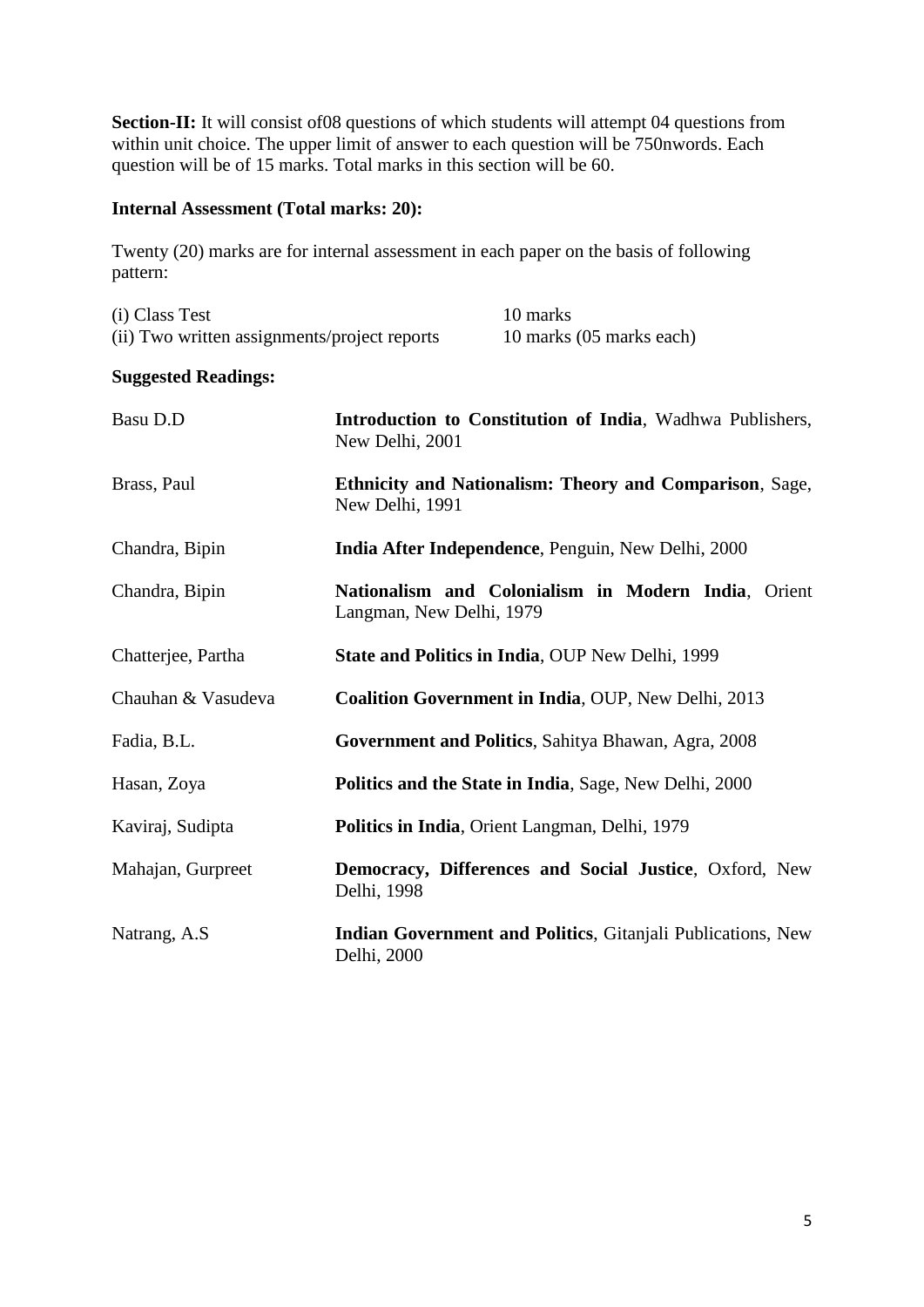Section-II: It will consist of 08 questions of which students will attempt 04 questions from within unit choice. The upper limit of answer to each question will be 750nwords. Each question will be of 15 marks. Total marks in this section will be 60.

## **Internal Assessment (Total marks: 20):**

Twenty (20) marks are for internal assessment in each paper on the basis of following pattern:

| (i) Class Test                               | 10 marks                 |
|----------------------------------------------|--------------------------|
| (ii) Two written assignments/project reports | 10 marks (05 marks each) |

## **Suggested Readings:**

| Basu D.D           | Introduction to Constitution of India, Wadhwa Publishers,<br>New Delhi, 2001    |
|--------------------|---------------------------------------------------------------------------------|
| Brass, Paul        | Ethnicity and Nationalism: Theory and Comparison, Sage,<br>New Delhi, 1991      |
| Chandra, Bipin     | India After Independence, Penguin, New Delhi, 2000                              |
| Chandra, Bipin     | Nationalism and Colonialism in Modern India, Orient<br>Langman, New Delhi, 1979 |
| Chatterjee, Partha | State and Politics in India, OUP New Delhi, 1999                                |
| Chauhan & Vasudeva | <b>Coalition Government in India, OUP, New Delhi, 2013</b>                      |
| Fadia, B.L.        | Government and Politics, Sahitya Bhawan, Agra, 2008                             |
| Hasan, Zoya        | Politics and the State in India, Sage, New Delhi, 2000                          |
| Kaviraj, Sudipta   | Politics in India, Orient Langman, Delhi, 1979                                  |
| Mahajan, Gurpreet  | Democracy, Differences and Social Justice, Oxford, New<br>Delhi, 1998           |
| Natrang, A.S.      | Indian Government and Politics, Gitanjali Publications, New<br>Delhi, 2000      |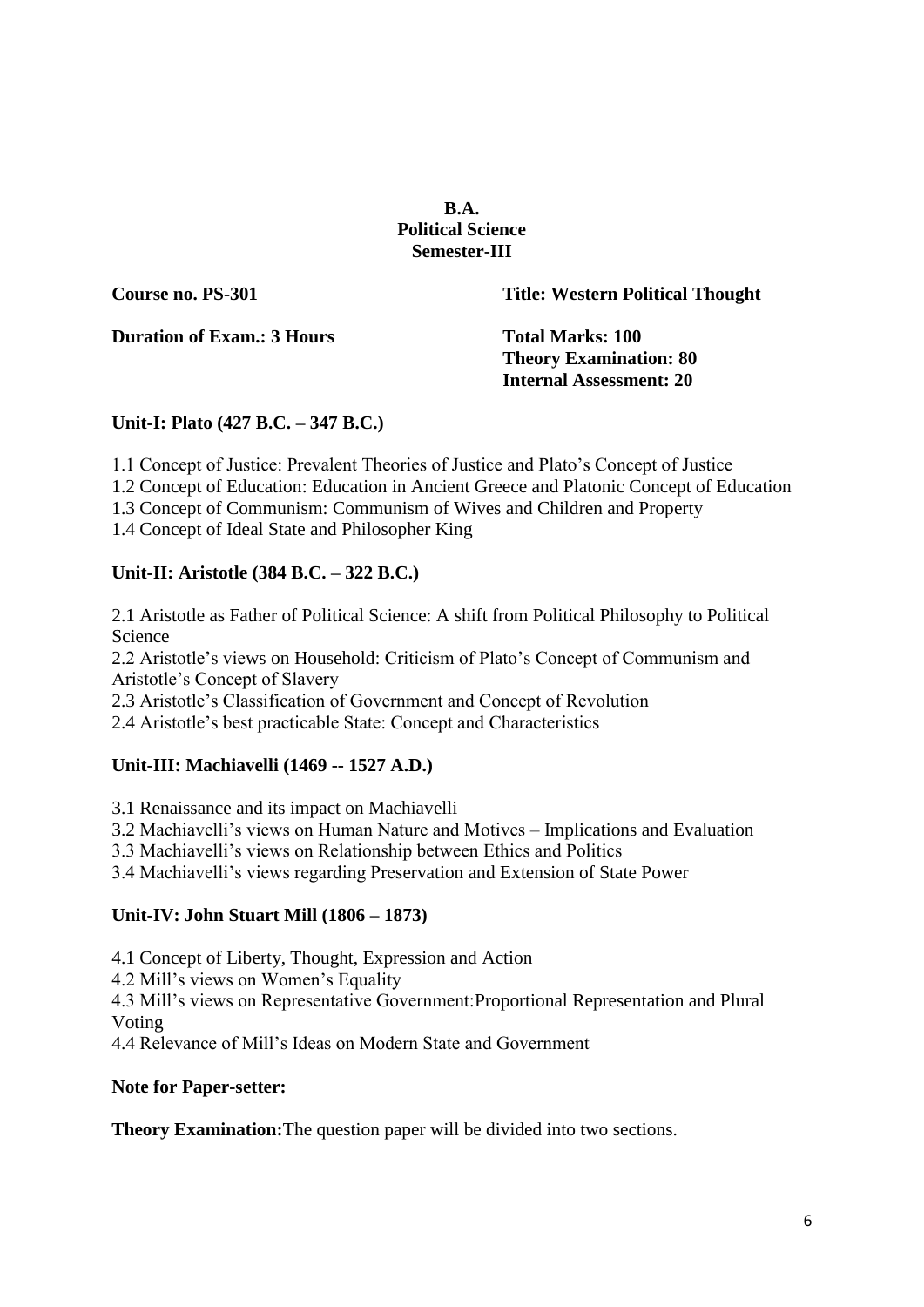## **B.A. Political Science Semester-III**

**Course no. PS-301 Title: Western Political Thought**

**Duration of Exam.: 3 Hours Total Marks: 100** 

**Theory Examination: 80 Internal Assessment: 20**

# **Unit-I: Plato (427 B.C. – 347 B.C.)**

1.1 Concept of Justice: Prevalent Theories of Justice and Plato's Concept of Justice

1.2 Concept of Education: Education in Ancient Greece and Platonic Concept of Education

1.3 Concept of Communism: Communism of Wives and Children and Property

1.4 Concept of Ideal State and Philosopher King

# **Unit-II: Aristotle (384 B.C. – 322 B.C.)**

2.1 Aristotle as Father of Political Science: A shift from Political Philosophy to Political Science

2.2 Aristotle's views on Household: Criticism of Plato's Concept of Communism and Aristotle's Concept of Slavery

2.3 Aristotle's Classification of Government and Concept of Revolution

2.4 Aristotle's best practicable State: Concept and Characteristics

# **Unit-III: Machiavelli (1469 -- 1527 A.D.)**

3.1 Renaissance and its impact on Machiavelli

3.2 Machiavelli's views on Human Nature and Motives – Implications and Evaluation

3.3 Machiavelli's views on Relationship between Ethics and Politics

3.4 Machiavelli's views regarding Preservation and Extension of State Power

# **Unit-IV: John Stuart Mill (1806 – 1873)**

4.1 Concept of Liberty, Thought, Expression and Action

4.2 Mill's views on Women's Equality

4.3 Mill's views on Representative Government:Proportional Representation and Plural Voting

4.4 Relevance of Mill's Ideas on Modern State and Government

# **Note for Paper-setter:**

**Theory Examination:**The question paper will be divided into two sections.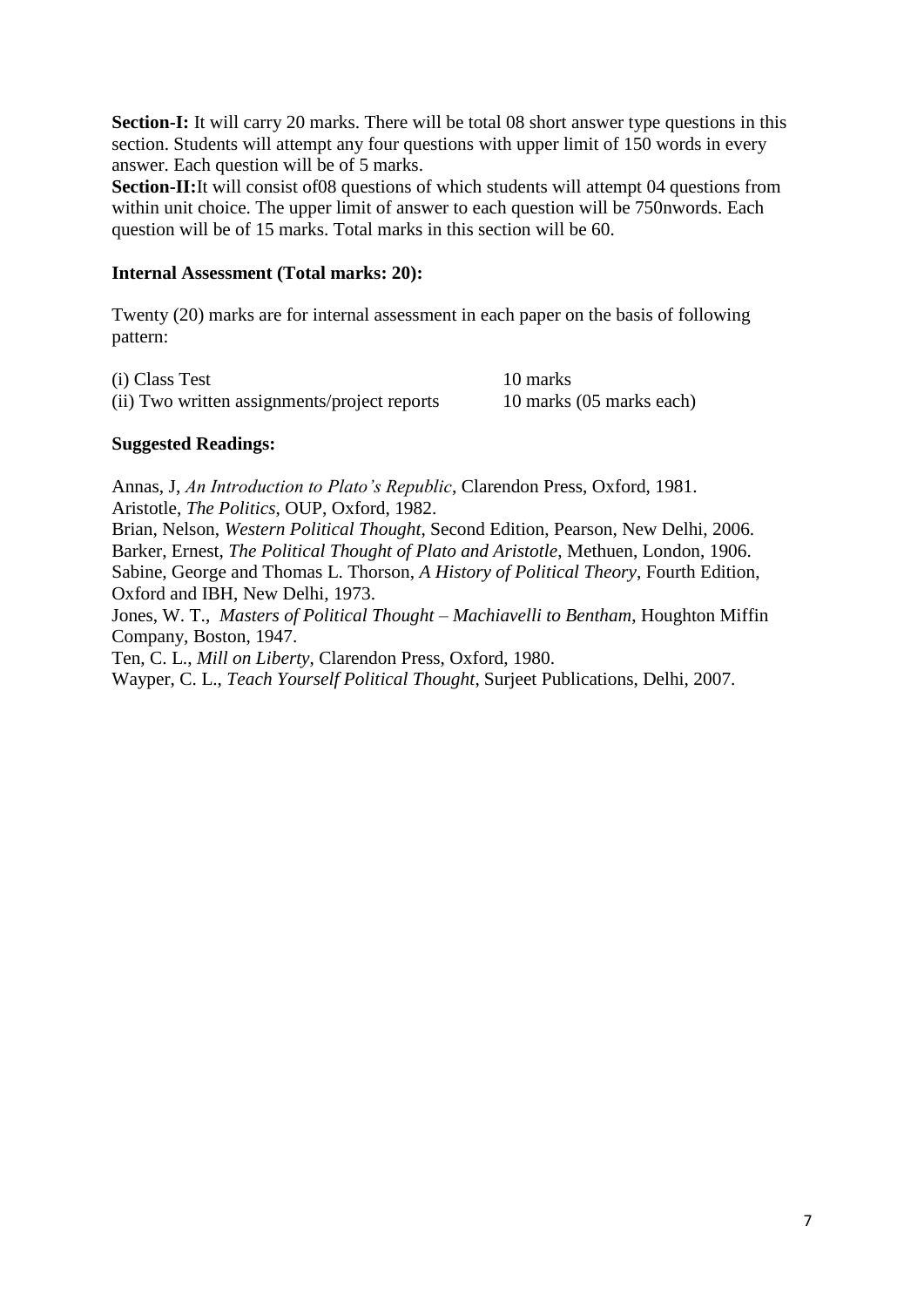**Section-I:** It will carry 20 marks. There will be total 08 short answer type questions in this section. Students will attempt any four questions with upper limit of 150 words in every answer. Each question will be of 5 marks.

**Section-II:**It will consist of08 questions of which students will attempt 04 questions from within unit choice. The upper limit of answer to each question will be 750nwords. Each question will be of 15 marks. Total marks in this section will be 60.

#### **Internal Assessment (Total marks: 20):**

Twenty (20) marks are for internal assessment in each paper on the basis of following pattern:

| (i) Class Test                               | 10 marks                 |
|----------------------------------------------|--------------------------|
| (ii) Two written assignments/project reports | 10 marks (05 marks each) |

#### **Suggested Readings:**

Annas, J, *An Introduction to Plato's Republic*, Clarendon Press, Oxford, 1981. Aristotle, *The Politics*, OUP, Oxford, 1982.

Brian, Nelson, *Western Political Thought*, Second Edition, Pearson, New Delhi, 2006. Barker, Ernest, *The Political Thought of Plato and Aristotle*, Methuen, London, 1906. Sabine, George and Thomas L. Thorson, *A History of Political Theory*, Fourth Edition, Oxford and IBH, New Delhi, 1973.

Jones, W. T., *Masters of Political Thought – Machiavelli to Bentham*, Houghton Miffin Company, Boston, 1947.

Ten, C. L., *Mill on Liberty*, Clarendon Press, Oxford, 1980.

Wayper, C. L., *Teach Yourself Political Thought*, Surjeet Publications, Delhi, 2007.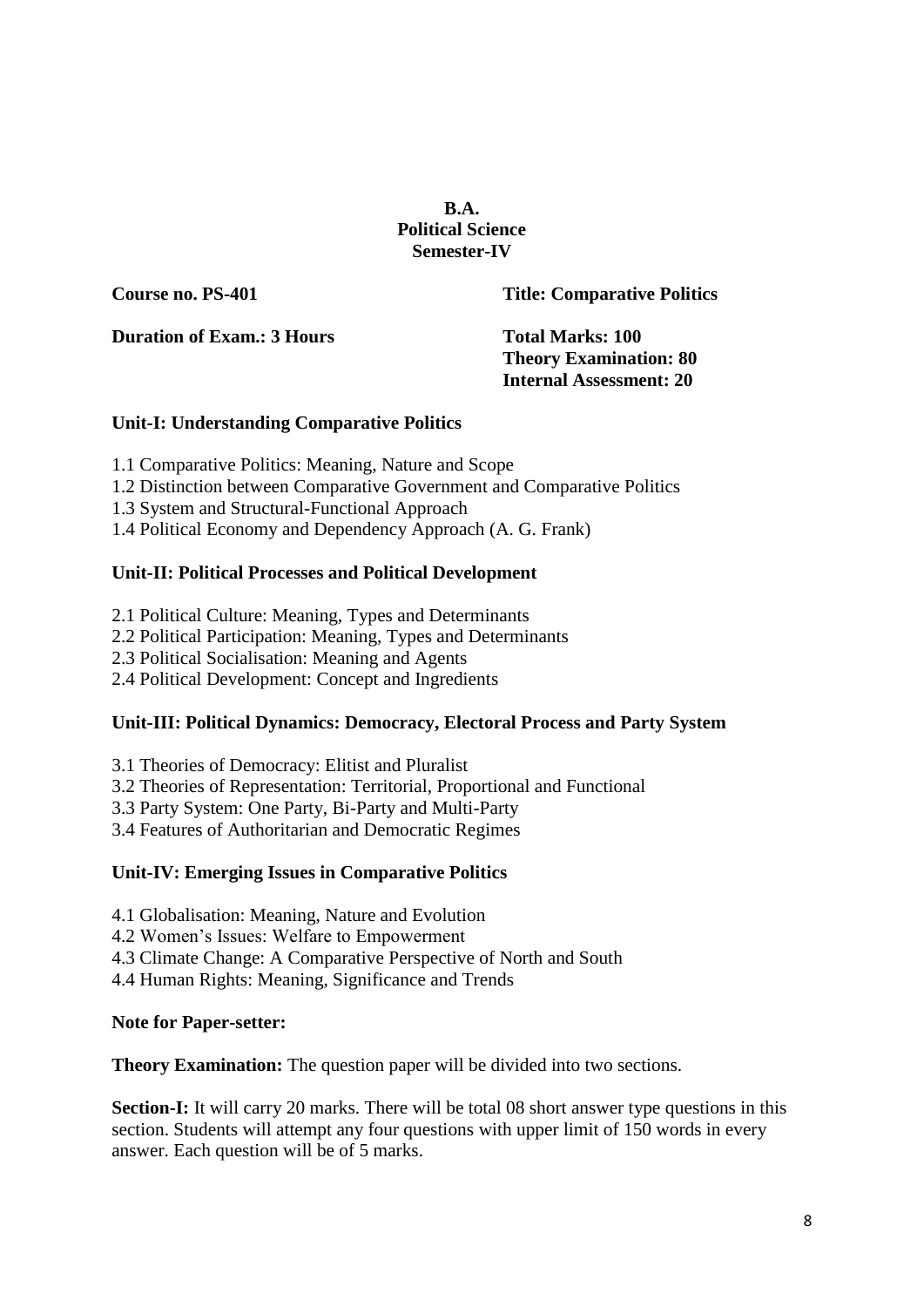## **B.A. Political Science Semester-IV**

**Course no. PS-401 Title: Comparative Politics**

**Duration of Exam.: 3 Hours Total Marks: 100** 

**Theory Examination: 80 Internal Assessment: 20**

# **Unit-I: Understanding Comparative Politics**

- 1.1 Comparative Politics: Meaning, Nature and Scope
- 1.2 Distinction between Comparative Government and Comparative Politics
- 1.3 System and Structural-Functional Approach
- 1.4 Political Economy and Dependency Approach (A. G. Frank)

# **Unit-II: Political Processes and Political Development**

- 2.1 Political Culture: Meaning, Types and Determinants
- 2.2 Political Participation: Meaning, Types and Determinants
- 2.3 Political Socialisation: Meaning and Agents
- 2.4 Political Development: Concept and Ingredients

# **Unit-III: Political Dynamics: Democracy, Electoral Process and Party System**

3.1 Theories of Democracy: Elitist and Pluralist

- 3.2 Theories of Representation: Territorial, Proportional and Functional
- 3.3 Party System: One Party, Bi-Party and Multi-Party
- 3.4 Features of Authoritarian and Democratic Regimes

# **Unit-IV: Emerging Issues in Comparative Politics**

- 4.1 Globalisation: Meaning, Nature and Evolution
- 4.2 Women's Issues: Welfare to Empowerment
- 4.3 Climate Change: A Comparative Perspective of North and South
- 4.4 Human Rights: Meaning, Significance and Trends

# **Note for Paper-setter:**

**Theory Examination:** The question paper will be divided into two sections.

**Section-I:** It will carry 20 marks. There will be total 08 short answer type questions in this section. Students will attempt any four questions with upper limit of 150 words in every answer. Each question will be of 5 marks.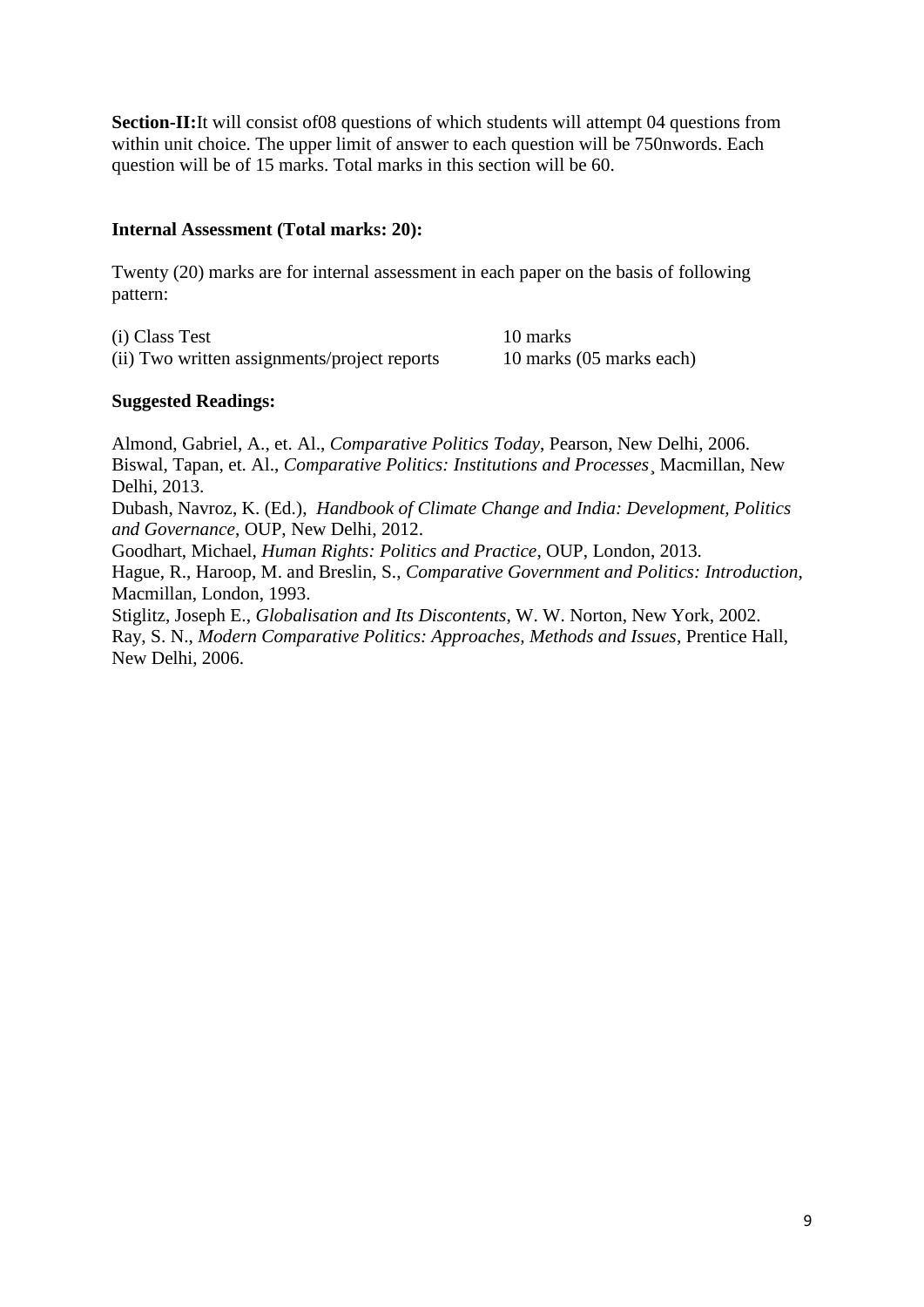**Section-II:**It will consist of 08 questions of which students will attempt 04 questions from within unit choice. The upper limit of answer to each question will be 750nwords. Each question will be of 15 marks. Total marks in this section will be 60.

## **Internal Assessment (Total marks: 20):**

Twenty (20) marks are for internal assessment in each paper on the basis of following pattern:

(i) Class Test 10 marks (ii) Two written assignments/project reports 10 marks (05 marks each)

#### **Suggested Readings:**

Almond, Gabriel, A., et. Al., *Comparative Politics Today*, Pearson, New Delhi, 2006. Biswal, Tapan, et. Al., *Comparative Politics: Institutions and Processes*¸ Macmillan, New Delhi, 2013. Dubash, Navroz, K. (Ed.), *Handbook of Climate Change and India: Development, Politics and Governance*, OUP, New Delhi, 2012. Goodhart, Michael, *Human Rights: Politics and Practice*, OUP, London, 2013. Hague, R., Haroop, M. and Breslin, S., *Comparative Government and Politics: Introduction*, Macmillan, London, 1993. Stiglitz, Joseph E., *Globalisation and Its Discontents*, W. W. Norton, New York, 2002. Ray, S. N., *Modern Comparative Politics: Approaches, Methods and Issues*, Prentice Hall, New Delhi, 2006.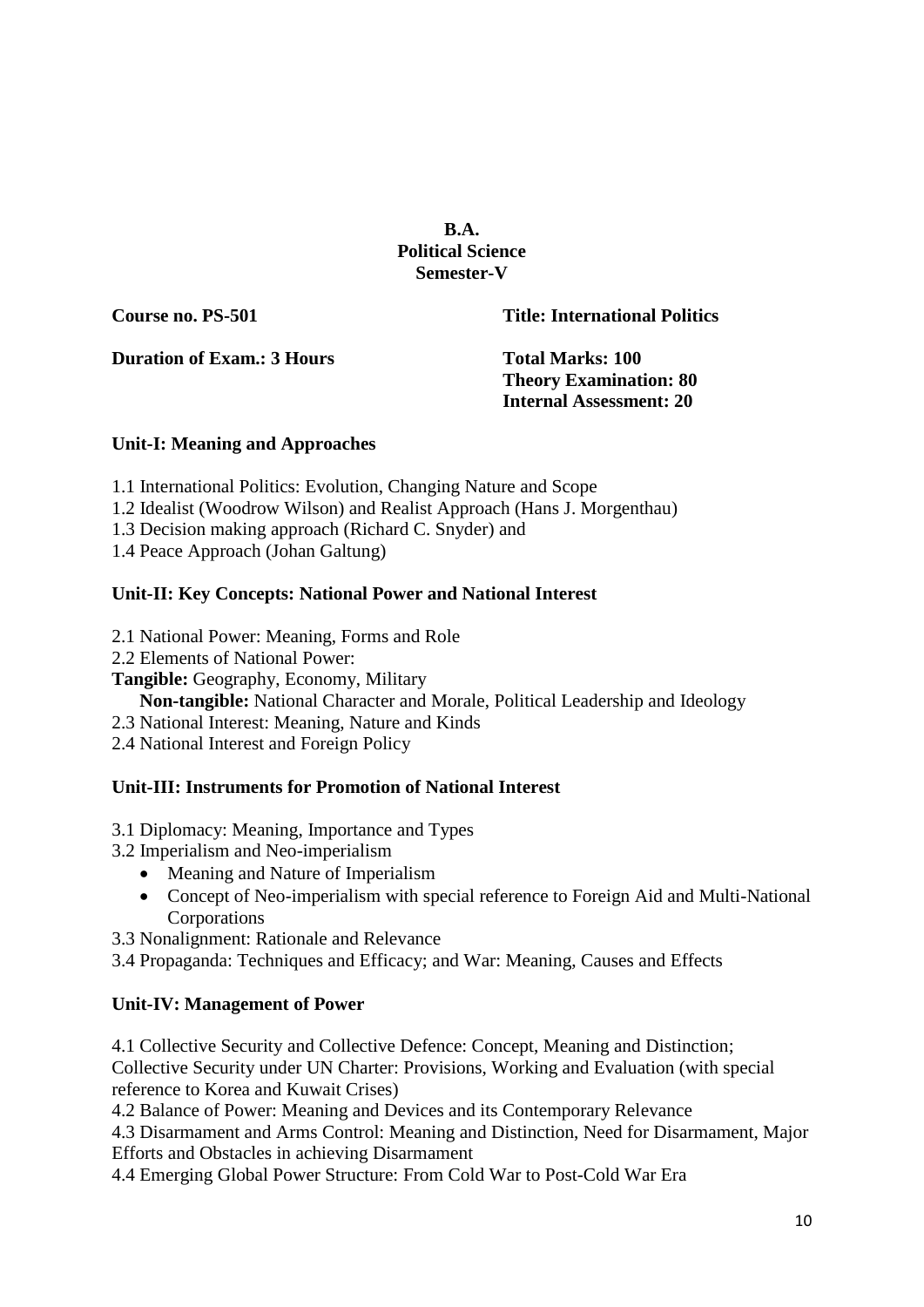**B.A. Political Science Semester-V**

**Course no. PS-501 Title: International Politics**

**Duration of Exam.: 3 Hours Total Marks: 100** 

**Theory Examination: 80 Internal Assessment: 20**

# **Unit-I: Meaning and Approaches**

- 1.1 International Politics: Evolution, Changing Nature and Scope
- 1.2 Idealist (Woodrow Wilson) and Realist Approach (Hans J. Morgenthau)
- 1.3 Decision making approach (Richard C. Snyder) and
- 1.4 Peace Approach (Johan Galtung)

# **Unit-II: Key Concepts: National Power and National Interest**

- 2.1 National Power: Meaning, Forms and Role
- 2.2 Elements of National Power:
- **Tangible:** Geography, Economy, Military
	- **Non-tangible:** National Character and Morale, Political Leadership and Ideology
- 2.3 National Interest: Meaning, Nature and Kinds
- 2.4 National Interest and Foreign Policy

# **Unit-III: Instruments for Promotion of National Interest**

# 3.1 Diplomacy: Meaning, Importance and Types

- 3.2 Imperialism and Neo-imperialism
	- Meaning and Nature of Imperialism
	- Concept of Neo-imperialism with special reference to Foreign Aid and Multi-National Corporations
- 3.3 Nonalignment: Rationale and Relevance

3.4 Propaganda: Techniques and Efficacy; and War: Meaning, Causes and Effects

# **Unit-IV: Management of Power**

4.1 Collective Security and Collective Defence: Concept, Meaning and Distinction; Collective Security under UN Charter: Provisions, Working and Evaluation (with special reference to Korea and Kuwait Crises)

4.2 Balance of Power: Meaning and Devices and its Contemporary Relevance

4.3 Disarmament and Arms Control: Meaning and Distinction, Need for Disarmament, Major Efforts and Obstacles in achieving Disarmament

4.4 Emerging Global Power Structure: From Cold War to Post-Cold War Era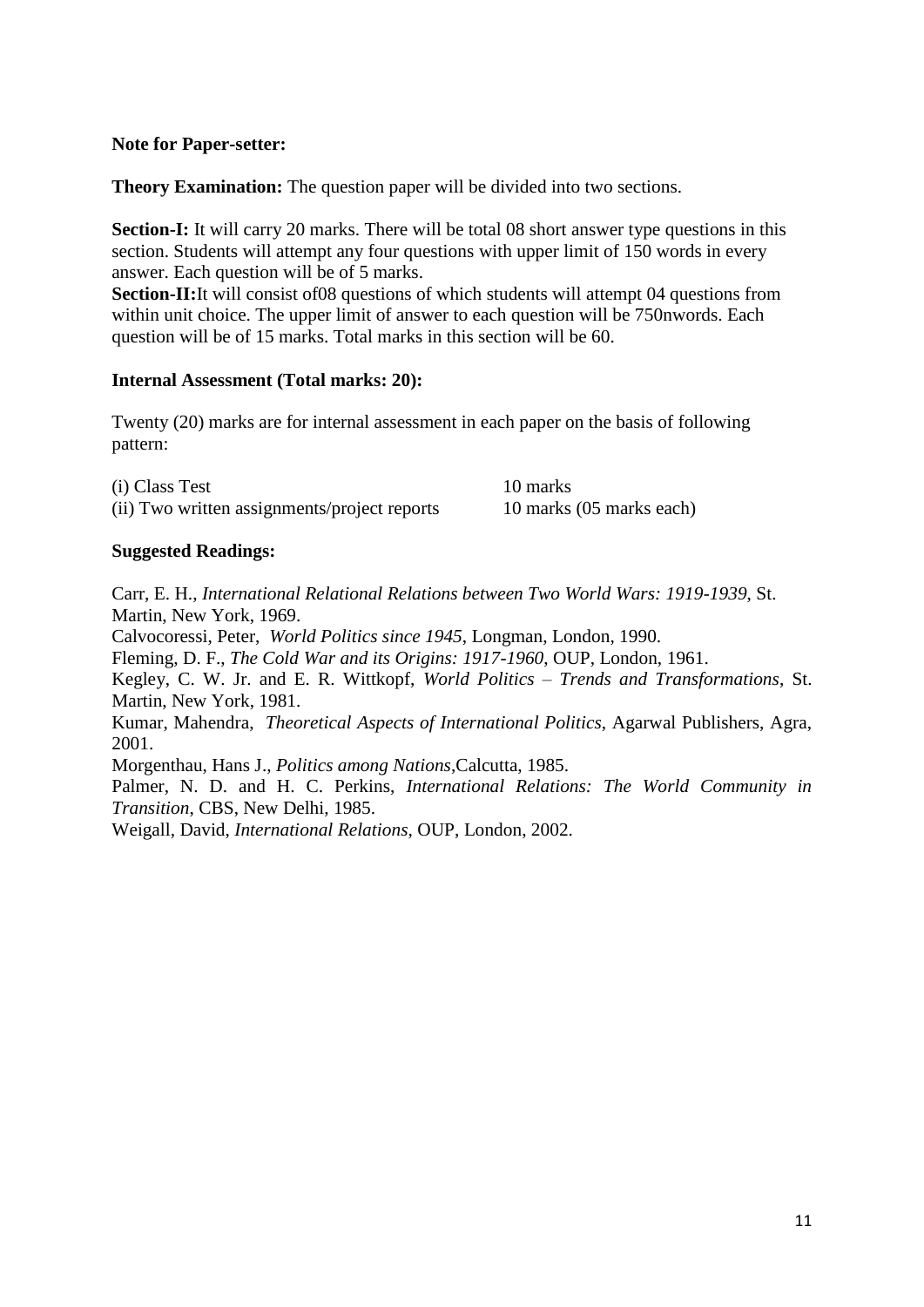#### **Note for Paper-setter:**

**Theory Examination:** The question paper will be divided into two sections.

**Section-I:** It will carry 20 marks. There will be total 08 short answer type questions in this section. Students will attempt any four questions with upper limit of 150 words in every answer. Each question will be of 5 marks.

**Section-II:**It will consist of08 questions of which students will attempt 04 questions from within unit choice. The upper limit of answer to each question will be 750nwords. Each question will be of 15 marks. Total marks in this section will be 60.

## **Internal Assessment (Total marks: 20):**

Twenty (20) marks are for internal assessment in each paper on the basis of following pattern:

(i) Class Test 10 marks (ii) Two written assignments/project reports 10 marks (05 marks each)

# **Suggested Readings:**

Carr, E. H., *International Relational Relations between Two World Wars: 1919-1939*, St. Martin, New York, 1969. Calvocoressi, Peter, *World Politics since 1945*, Longman, London, 1990. Fleming, D. F., *The Cold War and its Origins: 1917-1960*, OUP, London, 1961. Kegley, C. W. Jr. and E. R. Wittkopf, *World Politics – Trends and Transformations*, St. Martin, New York, 1981. Kumar, Mahendra, *Theoretical Aspects of International Politics*, Agarwal Publishers, Agra, 2001. Morgenthau, Hans J., *Politics among Nations*,Calcutta, 1985. Palmer, N. D. and H. C. Perkins, *International Relations: The World Community in Transition*, CBS, New Delhi, 1985. Weigall, David, *International Relations*, OUP, London, 2002.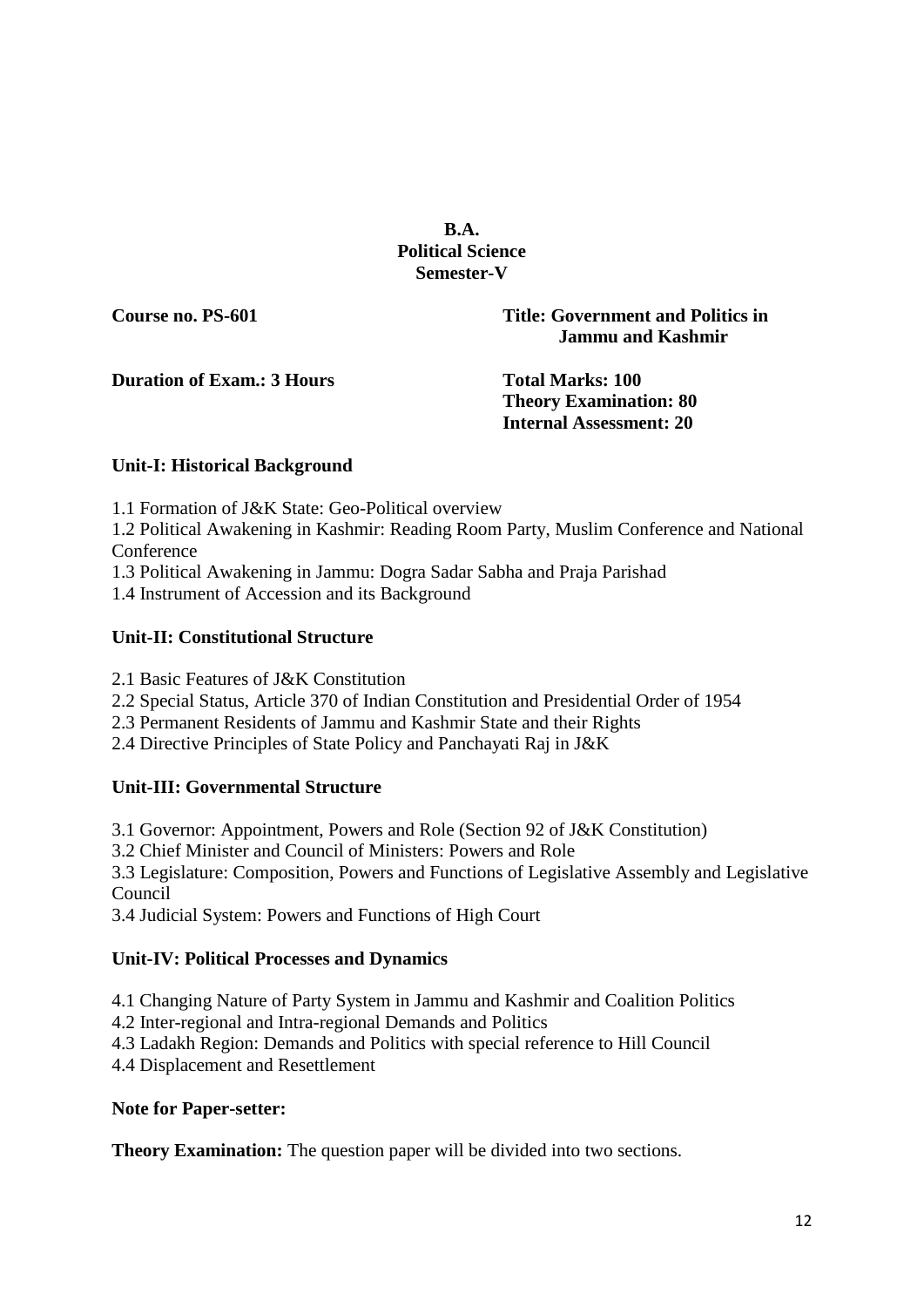**B.A. Political Science Semester-V**

**Course no. PS-601 Title: Government and Politics in Jammu and Kashmir**

**Duration of Exam.: 3 Hours Total Marks: 100**

**Theory Examination: 80 Internal Assessment: 20**

# **Unit-I: Historical Background**

1.1 Formation of J&K State: Geo-Political overview

1.2 Political Awakening in Kashmir: Reading Room Party, Muslim Conference and National Conference

1.3 Political Awakening in Jammu: Dogra Sadar Sabha and Praja Parishad

1.4 Instrument of Accession and its Background

# **Unit-II: Constitutional Structure**

2.1 Basic Features of J&K Constitution

- 2.2 Special Status, Article 370 of Indian Constitution and Presidential Order of 1954
- 2.3 Permanent Residents of Jammu and Kashmir State and their Rights

2.4 Directive Principles of State Policy and Panchayati Raj in J&K

# **Unit-III: Governmental Structure**

3.1 Governor: Appointment, Powers and Role (Section 92 of J&K Constitution)

3.2 Chief Minister and Council of Ministers: Powers and Role

3.3 Legislature: Composition, Powers and Functions of Legislative Assembly and Legislative Council

3.4 Judicial System: Powers and Functions of High Court

# **Unit-IV: Political Processes and Dynamics**

4.1 Changing Nature of Party System in Jammu and Kashmir and Coalition Politics

- 4.2 Inter-regional and Intra-regional Demands and Politics
- 4.3 Ladakh Region: Demands and Politics with special reference to Hill Council

4.4 Displacement and Resettlement

# **Note for Paper-setter:**

**Theory Examination:** The question paper will be divided into two sections.